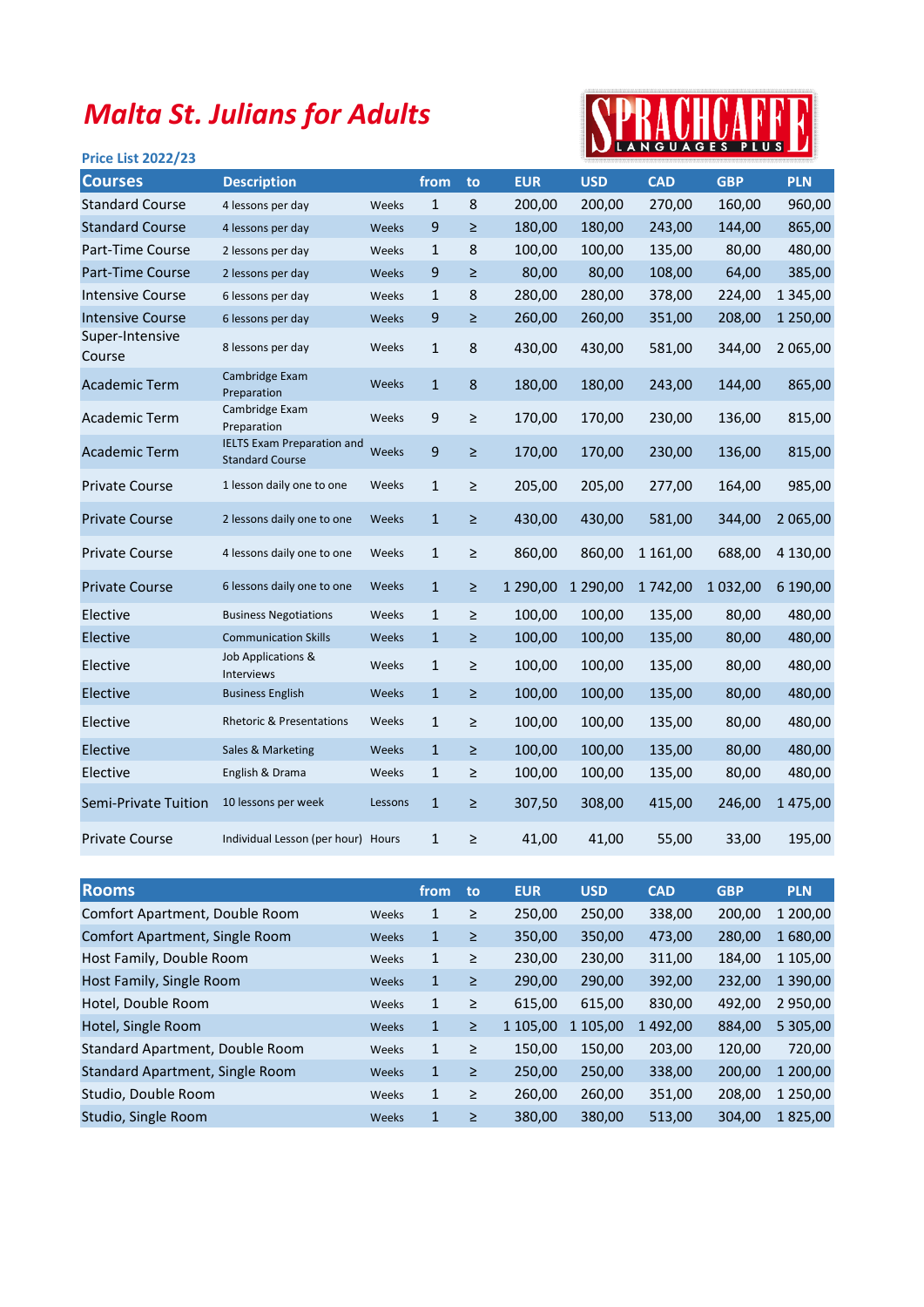## Malta St. Julians for Adults

## Price List 2022/23



| <b>Courses</b>            | <b>Description</b>                                          |         | from         | to     | <b>EUR</b> | <b>USD</b> | <b>CAD</b> | <b>GBP</b> | <b>PLN</b>    |
|---------------------------|-------------------------------------------------------------|---------|--------------|--------|------------|------------|------------|------------|---------------|
| <b>Standard Course</b>    | 4 lessons per day                                           | Weeks   | 1            | 8      | 200,00     | 200,00     | 270,00     | 160,00     | 960,00        |
| <b>Standard Course</b>    | 4 lessons per day                                           | Weeks   | 9            | $\geq$ | 180,00     | 180,00     | 243,00     | 144,00     | 865,00        |
| Part-Time Course          | 2 lessons per day                                           | Weeks   | $\mathbf{1}$ | 8      | 100,00     | 100,00     | 135,00     | 80,00      | 480,00        |
| Part-Time Course          | 2 lessons per day                                           | Weeks   | 9            | Σ      | 80,00      | 80,00      | 108,00     | 64,00      | 385,00        |
| Intensive Course          | 6 lessons per day                                           | Weeks   | $\mathbf{1}$ | 8      | 280,00     | 280,00     | 378,00     | 224,00     | 1 3 4 5 , 0 0 |
| <b>Intensive Course</b>   | 6 lessons per day                                           | Weeks   | 9            | ≥      | 260,00     | 260,00     | 351,00     | 208,00     | 1 250,00      |
| Super-Intensive<br>Course | 8 lessons per day                                           | Weeks   | $\mathbf{1}$ | 8      | 430,00     | 430,00     | 581,00     | 344,00     | 2 065,00      |
| <b>Academic Term</b>      | Cambridge Exam<br>Preparation                               | Weeks   | $\mathbf{1}$ | 8      | 180,00     | 180,00     | 243,00     | 144,00     | 865,00        |
| <b>Academic Term</b>      | Cambridge Exam<br>Preparation                               | Weeks   | 9            | $\geq$ | 170,00     | 170,00     | 230,00     | 136,00     | 815,00        |
| <b>Academic Term</b>      | <b>IELTS Exam Preparation and</b><br><b>Standard Course</b> | Weeks   | 9            | $\geq$ | 170,00     | 170,00     | 230,00     | 136,00     | 815,00        |
| <b>Private Course</b>     | 1 lesson daily one to one                                   | Weeks   | $\mathbf{1}$ | $\geq$ | 205,00     | 205,00     | 277,00     | 164,00     | 985,00        |
| <b>Private Course</b>     | 2 lessons daily one to one                                  | Weeks   | $\mathbf{1}$ | $\geq$ | 430,00     | 430,00     | 581,00     | 344,00     | 2 065,00      |
| <b>Private Course</b>     | 4 lessons daily one to one                                  | Weeks   | $\mathbf{1}$ | ≥      | 860,00     | 860,00     | 1 161,00   | 688,00     | 4 130,00      |
| <b>Private Course</b>     | 6 lessons daily one to one                                  | Weeks   | $\mathbf{1}$ | ≥      | 1 290,00   | 1 290,00   | 1742,00    | 1 032,00   | 6 190,00      |
| Elective                  | <b>Business Negotiations</b>                                | Weeks   | $\mathbf{1}$ | $\geq$ | 100,00     | 100,00     | 135,00     | 80,00      | 480,00        |
| Elective                  | <b>Communication Skills</b>                                 | Weeks   | $\mathbf{1}$ | ≥      | 100,00     | 100,00     | 135,00     | 80,00      | 480,00        |
| Elective                  | Job Applications &<br>Interviews                            | Weeks   | $\mathbf{1}$ | ≥      | 100,00     | 100,00     | 135,00     | 80,00      | 480,00        |
| Elective                  | <b>Business English</b>                                     | Weeks   | $\mathbf{1}$ | ≥      | 100,00     | 100,00     | 135,00     | 80,00      | 480,00        |
| Elective                  | <b>Rhetoric &amp; Presentations</b>                         | Weeks   | $\mathbf{1}$ | $\geq$ | 100,00     | 100,00     | 135,00     | 80,00      | 480,00        |
| Elective                  | Sales & Marketing                                           | Weeks   | $\mathbf{1}$ | ≥      | 100,00     | 100,00     | 135,00     | 80,00      | 480,00        |
| Elective                  | English & Drama                                             | Weeks   | $\mathbf{1}$ | ≥      | 100,00     | 100,00     | 135,00     | 80,00      | 480,00        |
| Semi-Private Tuition      | 10 lessons per week                                         | Lessons | $\mathbf{1}$ | ≥      | 307,50     | 308,00     | 415,00     | 246,00     | 1475,00       |
| <b>Private Course</b>     | Individual Lesson (per hour) Hours                          |         | $\mathbf{1}$ | ≥      | 41,00      | 41,00      | 55,00      | 33,00      | 195,00        |

| <b>Rooms</b>                    |       | from         | to     | <b>EUR</b> | <b>USD</b> | <b>CAD</b> | <b>GBP</b> | <b>PLN</b>    |
|---------------------------------|-------|--------------|--------|------------|------------|------------|------------|---------------|
| Comfort Apartment, Double Room  | Weeks | 1            | ≥      | 250,00     | 250,00     | 338,00     | 200,00     | 1 200,00      |
| Comfort Apartment, Single Room  | Weeks | 1            | ≥      | 350,00     | 350,00     | 473,00     | 280.00     | 1680,00       |
| Host Family, Double Room        | Weeks | 1            | ≥      | 230,00     | 230,00     | 311,00     | 184,00     | 1 105,00      |
| Host Family, Single Room        | Weeks | 1            | $\geq$ | 290,00     | 290,00     | 392,00     | 232,00     | 1 3 9 0 , 0 0 |
| Hotel, Double Room              | Weeks | 1            | ≥      | 615,00     | 615,00     | 830,00     | 492.00     | 2 950,00      |
| Hotel, Single Room              | Weeks | $\mathbf{1}$ | $\geq$ | 1 105,00   | 1 105,00   | 1492,00    | 884,00     | 5 305,00      |
| Standard Apartment, Double Room | Weeks | 1            | ≥      | 150,00     | 150,00     | 203,00     | 120,00     | 720,00        |
| Standard Apartment, Single Room | Weeks | $\mathbf{1}$ | ≥      | 250,00     | 250,00     | 338,00     | 200,00     | 1 200,00      |
| Studio, Double Room             | Weeks | $\mathbf{1}$ | ≥      | 260,00     | 260,00     | 351,00     | 208,00     | 1 250,00      |
| Studio, Single Room             | Weeks | $\mathbf{1}$ | ≥      | 380,00     | 380,00     | 513,00     | 304.00     | 1825,00       |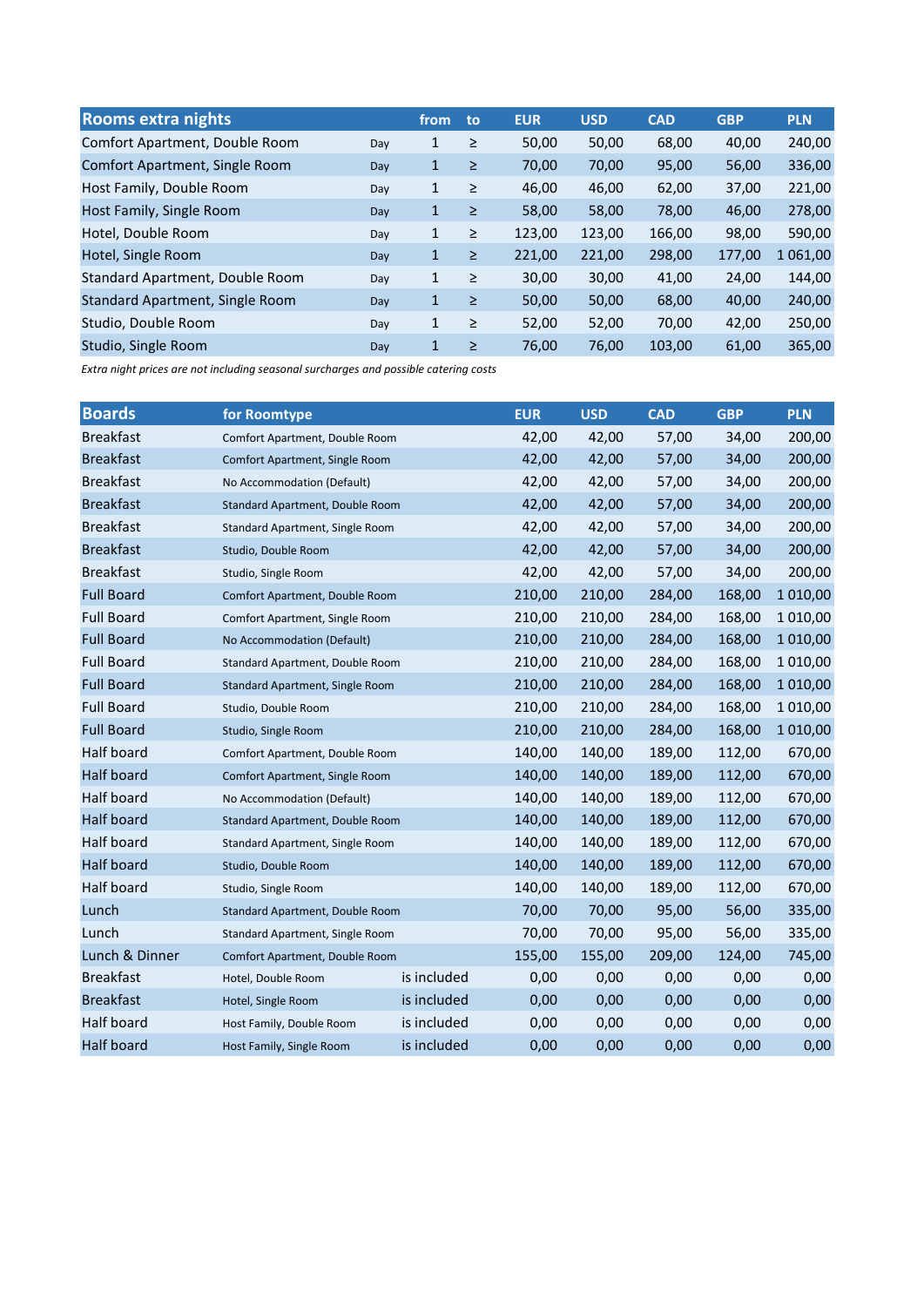| <b>Rooms extra nights</b>       |     | from         | to     | <b>EUR</b> | <b>USD</b> | <b>CAD</b> | <b>GBP</b> | <b>PLN</b> |
|---------------------------------|-----|--------------|--------|------------|------------|------------|------------|------------|
| Comfort Apartment, Double Room  | Day | 1            | $\geq$ | 50,00      | 50,00      | 68,00      | 40,00      | 240,00     |
| Comfort Apartment, Single Room  | Day | $\mathbf{1}$ | $\geq$ | 70,00      | 70,00      | 95,00      | 56,00      | 336,00     |
| Host Family, Double Room        | Day | 1            | $\geq$ | 46,00      | 46,00      | 62,00      | 37,00      | 221,00     |
| Host Family, Single Room        | Day | $\mathbf{1}$ | $\geq$ | 58,00      | 58,00      | 78,00      | 46,00      | 278,00     |
| Hotel, Double Room              | Day | 1            | $\geq$ | 123,00     | 123,00     | 166,00     | 98,00      | 590,00     |
| Hotel, Single Room              | Day | 1            | $\geq$ | 221,00     | 221,00     | 298,00     | 177,00     | .061,00    |
| Standard Apartment, Double Room | Day | 1            | $\geq$ | 30,00      | 30,00      | 41,00      | 24,00      | 144,00     |
| Standard Apartment, Single Room | Day | $\mathbf{1}$ | $\geq$ | 50,00      | 50,00      | 68,00      | 40,00      | 240,00     |
| Studio, Double Room             | Day | 1            | $\geq$ | 52,00      | 52,00      | 70,00      | 42,00      | 250,00     |
| Studio, Single Room             | Day | 1            | $\geq$ | 76,00      | 76,00      | 103,00     | 61,00      | 365,00     |

Extra night prices are not including seasonal surcharges and possible catering costs

| <b>Boards</b>     | for Roomtype                    |             | <b>EUR</b> | <b>USD</b> | <b>CAD</b> | <b>GBP</b> | <b>PLN</b> |
|-------------------|---------------------------------|-------------|------------|------------|------------|------------|------------|
| <b>Breakfast</b>  | Comfort Apartment, Double Room  |             | 42,00      | 42,00      | 57,00      | 34,00      | 200,00     |
| <b>Breakfast</b>  | Comfort Apartment, Single Room  |             | 42,00      | 42,00      | 57,00      | 34,00      | 200,00     |
| <b>Breakfast</b>  | No Accommodation (Default)      |             | 42,00      | 42,00      | 57,00      | 34,00      | 200,00     |
| <b>Breakfast</b>  | Standard Apartment, Double Room |             | 42,00      | 42,00      | 57,00      | 34,00      | 200,00     |
| <b>Breakfast</b>  | Standard Apartment, Single Room |             | 42,00      | 42,00      | 57,00      | 34,00      | 200,00     |
| <b>Breakfast</b>  | Studio, Double Room             |             | 42,00      | 42,00      | 57,00      | 34,00      | 200,00     |
| <b>Breakfast</b>  | Studio, Single Room             |             | 42,00      | 42,00      | 57,00      | 34,00      | 200,00     |
| <b>Full Board</b> | Comfort Apartment, Double Room  |             | 210,00     | 210,00     | 284,00     | 168,00     | 1 0 1 0,00 |
| <b>Full Board</b> | Comfort Apartment, Single Room  |             | 210,00     | 210,00     | 284,00     | 168,00     | 1 0 1 0,00 |
| <b>Full Board</b> | No Accommodation (Default)      | 210,00      | 210,00     | 284,00     | 168,00     | 1 0 1 0,00 |            |
| <b>Full Board</b> | Standard Apartment, Double Room | 210,00      | 210,00     | 284,00     | 168,00     | 1 0 1 0,00 |            |
| <b>Full Board</b> | Standard Apartment, Single Room | 210,00      | 210,00     | 284,00     | 168,00     | 1 0 1 0,00 |            |
| <b>Full Board</b> | Studio, Double Room             | 210,00      | 210,00     | 284,00     | 168,00     | 1 0 1 0,00 |            |
| <b>Full Board</b> | Studio, Single Room             | 210,00      | 210,00     | 284,00     | 168,00     | 1 0 1 0,00 |            |
| Half board        | Comfort Apartment, Double Room  |             | 140,00     | 140,00     | 189,00     | 112,00     | 670,00     |
| <b>Half board</b> | Comfort Apartment, Single Room  |             | 140,00     | 140,00     | 189,00     | 112,00     | 670,00     |
| Half board        | No Accommodation (Default)      |             | 140,00     | 140,00     | 189,00     | 112,00     | 670,00     |
| <b>Half board</b> | Standard Apartment, Double Room |             | 140,00     | 140,00     | 189,00     | 112,00     | 670,00     |
| Half board        | Standard Apartment, Single Room |             | 140,00     | 140,00     | 189,00     | 112,00     | 670,00     |
| Half board        | Studio, Double Room             |             | 140,00     | 140,00     | 189,00     | 112,00     | 670,00     |
| Half board        | Studio, Single Room             |             | 140,00     | 140,00     | 189,00     | 112,00     | 670,00     |
| Lunch             | Standard Apartment, Double Room |             | 70,00      | 70,00      | 95,00      | 56,00      | 335,00     |
| Lunch             | Standard Apartment, Single Room |             | 70,00      | 70,00      | 95,00      | 56,00      | 335,00     |
| Lunch & Dinner    | Comfort Apartment, Double Room  |             | 155,00     | 155,00     | 209,00     | 124,00     | 745,00     |
| <b>Breakfast</b>  | Hotel, Double Room              | is included | 0,00       | 0,00       | 0,00       | 0,00       | 0,00       |
| <b>Breakfast</b>  | Hotel, Single Room              | is included | 0,00       | 0,00       | 0,00       | 0,00       | 0,00       |
| Half board        | Host Family, Double Room        | is included | 0,00       | 0,00       | 0,00       | 0,00       | 0,00       |
| Half board        | Host Family, Single Room        | is included | 0,00       | 0,00       | 0,00       | 0,00       | 0,00       |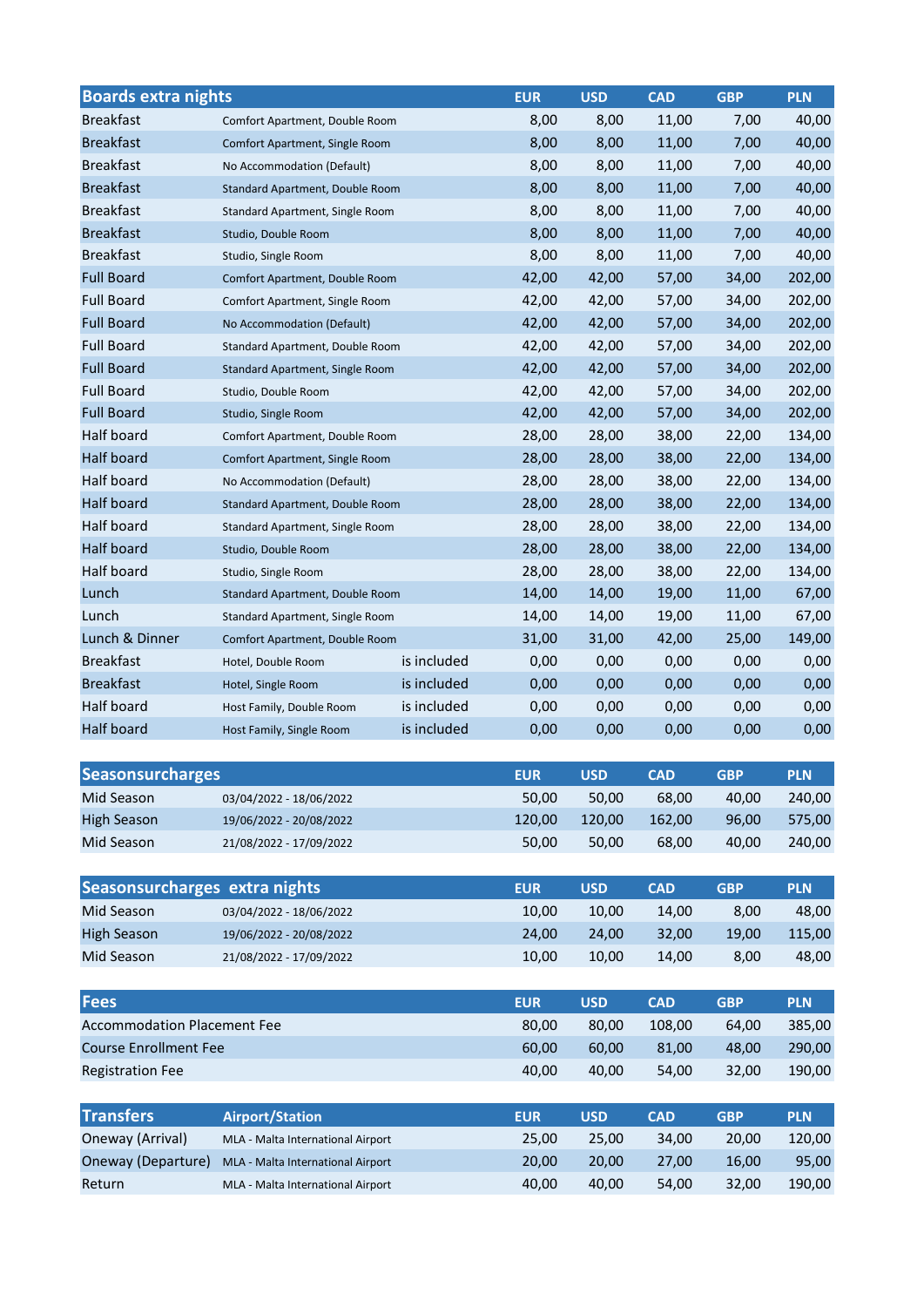| <b>Boards extra nights</b>         |                                   |             | <b>EUR</b> | <b>USD</b> | <b>CAD</b> | <b>GBP</b> | <b>PLN</b> |
|------------------------------------|-----------------------------------|-------------|------------|------------|------------|------------|------------|
| <b>Breakfast</b>                   | Comfort Apartment, Double Room    |             | 8,00       | 8,00       | 11,00      | 7,00       | 40,00      |
| <b>Breakfast</b>                   | Comfort Apartment, Single Room    |             | 8,00       | 8,00       | 11,00      | 7,00       | 40,00      |
| <b>Breakfast</b>                   | No Accommodation (Default)        |             | 8,00       | 8,00       | 11,00      | 7,00       | 40,00      |
| <b>Breakfast</b>                   | Standard Apartment, Double Room   |             | 8,00       | 8,00       | 11,00      | 7,00       | 40,00      |
| <b>Breakfast</b>                   | Standard Apartment, Single Room   |             | 8,00       | 8,00       | 11,00      | 7,00       | 40,00      |
| <b>Breakfast</b>                   | Studio, Double Room               |             | 8,00       | 8,00       | 11,00      | 7,00       | 40,00      |
| <b>Breakfast</b>                   | Studio, Single Room               |             | 8,00       | 8,00       | 11,00      | 7,00       | 40,00      |
| <b>Full Board</b>                  | Comfort Apartment, Double Room    |             | 42,00      | 42,00      | 57,00      | 34,00      | 202,00     |
| <b>Full Board</b>                  | Comfort Apartment, Single Room    |             | 42,00      | 42,00      | 57,00      | 34,00      | 202,00     |
| <b>Full Board</b>                  | No Accommodation (Default)        |             | 42,00      | 42,00      | 57,00      | 34,00      | 202,00     |
| <b>Full Board</b>                  | Standard Apartment, Double Room   |             | 42,00      | 42,00      | 57,00      | 34,00      | 202,00     |
| <b>Full Board</b>                  | Standard Apartment, Single Room   |             | 42,00      | 42,00      | 57,00      | 34,00      | 202,00     |
| <b>Full Board</b>                  | Studio, Double Room               |             | 42,00      | 42,00      | 57,00      | 34,00      | 202,00     |
| <b>Full Board</b>                  | Studio, Single Room               |             | 42,00      | 42,00      | 57,00      | 34,00      | 202,00     |
| Half board                         | Comfort Apartment, Double Room    |             | 28,00      | 28,00      | 38,00      | 22,00      | 134,00     |
| Half board                         | Comfort Apartment, Single Room    |             | 28,00      | 28,00      | 38,00      | 22,00      | 134,00     |
| Half board                         | No Accommodation (Default)        |             | 28,00      | 28,00      | 38,00      | 22,00      | 134,00     |
| Half board                         | Standard Apartment, Double Room   |             | 28,00      | 28,00      | 38,00      | 22,00      | 134,00     |
| Half board                         | Standard Apartment, Single Room   |             | 28,00      | 28,00      | 38,00      | 22,00      | 134,00     |
| Half board                         | Studio, Double Room               |             | 28,00      | 28,00      | 38,00      | 22,00      | 134,00     |
| Half board                         | Studio, Single Room               |             | 28,00      | 28,00      | 38,00      | 22,00      | 134,00     |
| Lunch                              | Standard Apartment, Double Room   |             | 14,00      | 14,00      | 19,00      | 11,00      | 67,00      |
| Lunch                              | Standard Apartment, Single Room   |             | 14,00      | 14,00      | 19,00      | 11,00      | 67,00      |
| Lunch & Dinner                     | Comfort Apartment, Double Room    |             | 31,00      | 31,00      | 42,00      | 25,00      | 149,00     |
| <b>Breakfast</b>                   | Hotel, Double Room                | is included | 0,00       | 0,00       | 0,00       | 0,00       | 0,00       |
| <b>Breakfast</b>                   | Hotel, Single Room                | is included | 0,00       | 0,00       | 0,00       | 0,00       | 0,00       |
| Half board                         | Host Family, Double Room          | is included | 0,00       | 0,00       | 0,00       | 0,00       | 0,00       |
| Half board                         | Host Family, Single Room          | is included | 0,00       | 0,00       | 0,00       | 0,00       | 0,00       |
| <b>Seasonsurcharges</b>            |                                   |             | <b>EUR</b> | <b>USD</b> | <b>CAD</b> | <b>GBP</b> | <b>PLN</b> |
| Mid Season                         | 03/04/2022 - 18/06/2022           |             | 50,00      | 50,00      | 68,00      | 40,00      | 240,00     |
| <b>High Season</b>                 | 19/06/2022 - 20/08/2022           |             | 120,00     | 120,00     | 162,00     | 96,00      | 575,00     |
| Mid Season                         | 21/08/2022 - 17/09/2022           |             | 50,00      | 50,00      | 68,00      | 40,00      | 240,00     |
|                                    |                                   |             |            |            |            |            |            |
| Seasonsurcharges extra nights      |                                   |             | <b>EUR</b> | <b>USD</b> | <b>CAD</b> | <b>GBP</b> | <b>PLN</b> |
| Mid Season                         | 03/04/2022 - 18/06/2022           |             | 10,00      | 10,00      | 14,00      | 8,00       | 48,00      |
| <b>High Season</b>                 | 19/06/2022 - 20/08/2022           |             | 24,00      | 24,00      | 32,00      | 19,00      | 115,00     |
| Mid Season                         | 21/08/2022 - 17/09/2022           |             | 10,00      | 10,00      | 14,00      | 8,00       | 48,00      |
|                                    |                                   |             |            |            |            |            |            |
| <b>Fees</b>                        |                                   |             | <b>EUR</b> | <b>USD</b> | <b>CAD</b> | <b>GBP</b> | <b>PLN</b> |
| <b>Accommodation Placement Fee</b> |                                   |             | 80,00      | 80,00      | 108,00     | 64,00      | 385,00     |
| <b>Course Enrollment Fee</b>       |                                   |             | 60,00      | 60,00      | 81,00      | 48,00      | 290,00     |
| <b>Registration Fee</b>            |                                   |             | 40,00      | 40,00      | 54,00      | 32,00      | 190,00     |
| <b>Transfers</b>                   | <b>Airport/Station</b>            |             | <b>EUR</b> | <b>USD</b> | <b>CAD</b> | <b>GBP</b> | <b>PLN</b> |
| Oneway (Arrival)                   | MLA - Malta International Airport |             | 25,00      | 25,00      | 34,00      | 20,00      | 120,00     |
| Oneway (Departure)                 | MLA - Malta International Airport |             | 20,00      | 20,00      | 27,00      | 16,00      | 95,00      |
| Return                             | MLA - Malta International Airport |             | 40,00      | 40,00      | 54,00      | 32,00      | 190,00     |